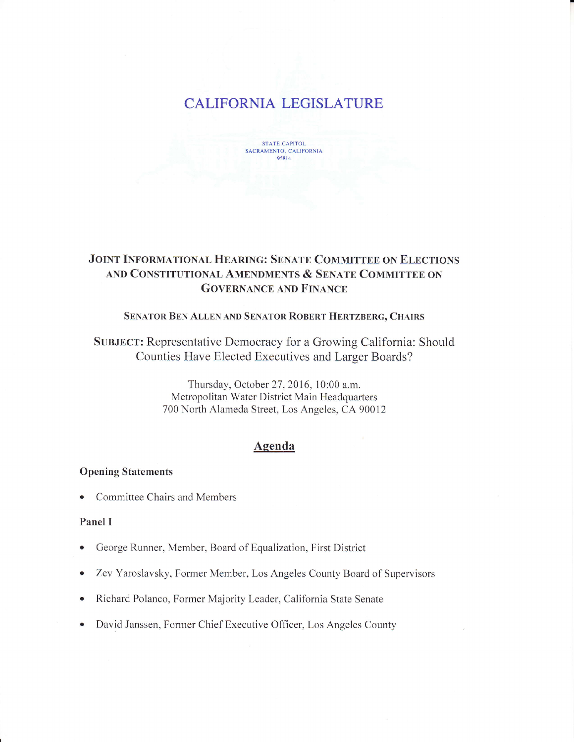# CALIFORNIA LEGISLATURE



# JOINT INFORMATIONAL HEARING: SENATE COMMITTEE ON ELECTIONS AND CONSTITUTIONAL AMENDMENTS & SENATE COMMITTEE ON **GOVERNANCE AND FINANCE**

#### SENATOR BEN ALLEN AND SENATOR ROBERT HERTZBERG, CHAIRS

SUBJECT: Representative Democracy for a Growing California: Should Counties Have Elected Executives and Larger Boards?

> Thursday, October 27, 2016, 10:00 a.m. Metropolitan Water District Main Headquarters 700 North Alameda Street, Los Angeles, CA 90012

# Agenda

#### Opening Statements

. Committee Chairs and Members

### Panel I

- George Runner, Member, Board of Equalization, First District
- o Zev Yaroslavsky, Former Member, Los Angeles County Board of Supervisors
- o Richard Polanco, Former Majority Leader, California State Senate
- . David Janssen, Former Chief Executive Officer, Los Angeles County